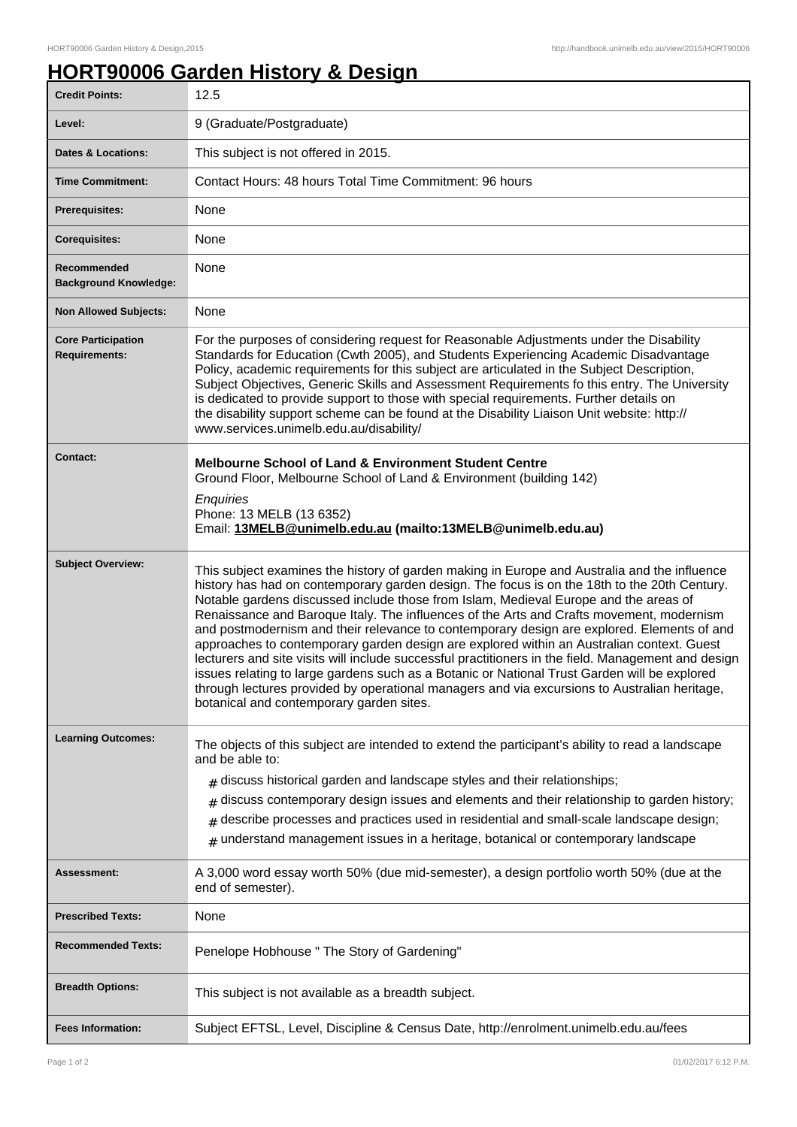## **HORT90006 Garden History & Design**

| <b>Credit Points:</b>                             | 12.5                                                                                                                                                                                                                                                                                                                                                                                                                                                                                                                                                                                                                                                                                                                                                                                                                                                                                                                           |
|---------------------------------------------------|--------------------------------------------------------------------------------------------------------------------------------------------------------------------------------------------------------------------------------------------------------------------------------------------------------------------------------------------------------------------------------------------------------------------------------------------------------------------------------------------------------------------------------------------------------------------------------------------------------------------------------------------------------------------------------------------------------------------------------------------------------------------------------------------------------------------------------------------------------------------------------------------------------------------------------|
| Level:                                            | 9 (Graduate/Postgraduate)                                                                                                                                                                                                                                                                                                                                                                                                                                                                                                                                                                                                                                                                                                                                                                                                                                                                                                      |
| <b>Dates &amp; Locations:</b>                     | This subject is not offered in 2015.                                                                                                                                                                                                                                                                                                                                                                                                                                                                                                                                                                                                                                                                                                                                                                                                                                                                                           |
| <b>Time Commitment:</b>                           | Contact Hours: 48 hours Total Time Commitment: 96 hours                                                                                                                                                                                                                                                                                                                                                                                                                                                                                                                                                                                                                                                                                                                                                                                                                                                                        |
| <b>Prerequisites:</b>                             | None                                                                                                                                                                                                                                                                                                                                                                                                                                                                                                                                                                                                                                                                                                                                                                                                                                                                                                                           |
| <b>Corequisites:</b>                              | None                                                                                                                                                                                                                                                                                                                                                                                                                                                                                                                                                                                                                                                                                                                                                                                                                                                                                                                           |
| Recommended<br><b>Background Knowledge:</b>       | None                                                                                                                                                                                                                                                                                                                                                                                                                                                                                                                                                                                                                                                                                                                                                                                                                                                                                                                           |
| <b>Non Allowed Subjects:</b>                      | None                                                                                                                                                                                                                                                                                                                                                                                                                                                                                                                                                                                                                                                                                                                                                                                                                                                                                                                           |
| <b>Core Participation</b><br><b>Requirements:</b> | For the purposes of considering request for Reasonable Adjustments under the Disability<br>Standards for Education (Cwth 2005), and Students Experiencing Academic Disadvantage<br>Policy, academic requirements for this subject are articulated in the Subject Description,<br>Subject Objectives, Generic Skills and Assessment Requirements fo this entry. The University<br>is dedicated to provide support to those with special requirements. Further details on<br>the disability support scheme can be found at the Disability Liaison Unit website: http://<br>www.services.unimelb.edu.au/disability/                                                                                                                                                                                                                                                                                                               |
| <b>Contact:</b>                                   | <b>Melbourne School of Land &amp; Environment Student Centre</b><br>Ground Floor, Melbourne School of Land & Environment (building 142)<br>Enquiries<br>Phone: 13 MELB (13 6352)<br>Email: 13MELB@unimelb.edu.au (mailto:13MELB@unimelb.edu.au)                                                                                                                                                                                                                                                                                                                                                                                                                                                                                                                                                                                                                                                                                |
| <b>Subject Overview:</b>                          | This subject examines the history of garden making in Europe and Australia and the influence<br>history has had on contemporary garden design. The focus is on the 18th to the 20th Century.<br>Notable gardens discussed include those from Islam, Medieval Europe and the areas of<br>Renaissance and Baroque Italy. The influences of the Arts and Crafts movement, modernism<br>and postmodernism and their relevance to contemporary design are explored. Elements of and<br>approaches to contemporary garden design are explored within an Australian context. Guest<br>lecturers and site visits will include successful practitioners in the field. Management and design<br>issues relating to large gardens such as a Botanic or National Trust Garden will be explored<br>through lectures provided by operational managers and via excursions to Australian heritage,<br>botanical and contemporary garden sites. |
| <b>Learning Outcomes:</b>                         | The objects of this subject are intended to extend the participant's ability to read a landscape<br>and be able to:<br>discuss historical garden and landscape styles and their relationships;<br>discuss contemporary design issues and elements and their relationship to garden history;<br>#<br>describe processes and practices used in residential and small-scale landscape design;<br>#<br>understand management issues in a heritage, botanical or contemporary landscape<br>#                                                                                                                                                                                                                                                                                                                                                                                                                                        |
| Assessment:                                       | A 3,000 word essay worth 50% (due mid-semester), a design portfolio worth 50% (due at the<br>end of semester).                                                                                                                                                                                                                                                                                                                                                                                                                                                                                                                                                                                                                                                                                                                                                                                                                 |
| <b>Prescribed Texts:</b>                          | None                                                                                                                                                                                                                                                                                                                                                                                                                                                                                                                                                                                                                                                                                                                                                                                                                                                                                                                           |
| <b>Recommended Texts:</b>                         | Penelope Hobhouse " The Story of Gardening"                                                                                                                                                                                                                                                                                                                                                                                                                                                                                                                                                                                                                                                                                                                                                                                                                                                                                    |
| <b>Breadth Options:</b>                           | This subject is not available as a breadth subject.                                                                                                                                                                                                                                                                                                                                                                                                                                                                                                                                                                                                                                                                                                                                                                                                                                                                            |
| <b>Fees Information:</b>                          | Subject EFTSL, Level, Discipline & Census Date, http://enrolment.unimelb.edu.au/fees                                                                                                                                                                                                                                                                                                                                                                                                                                                                                                                                                                                                                                                                                                                                                                                                                                           |